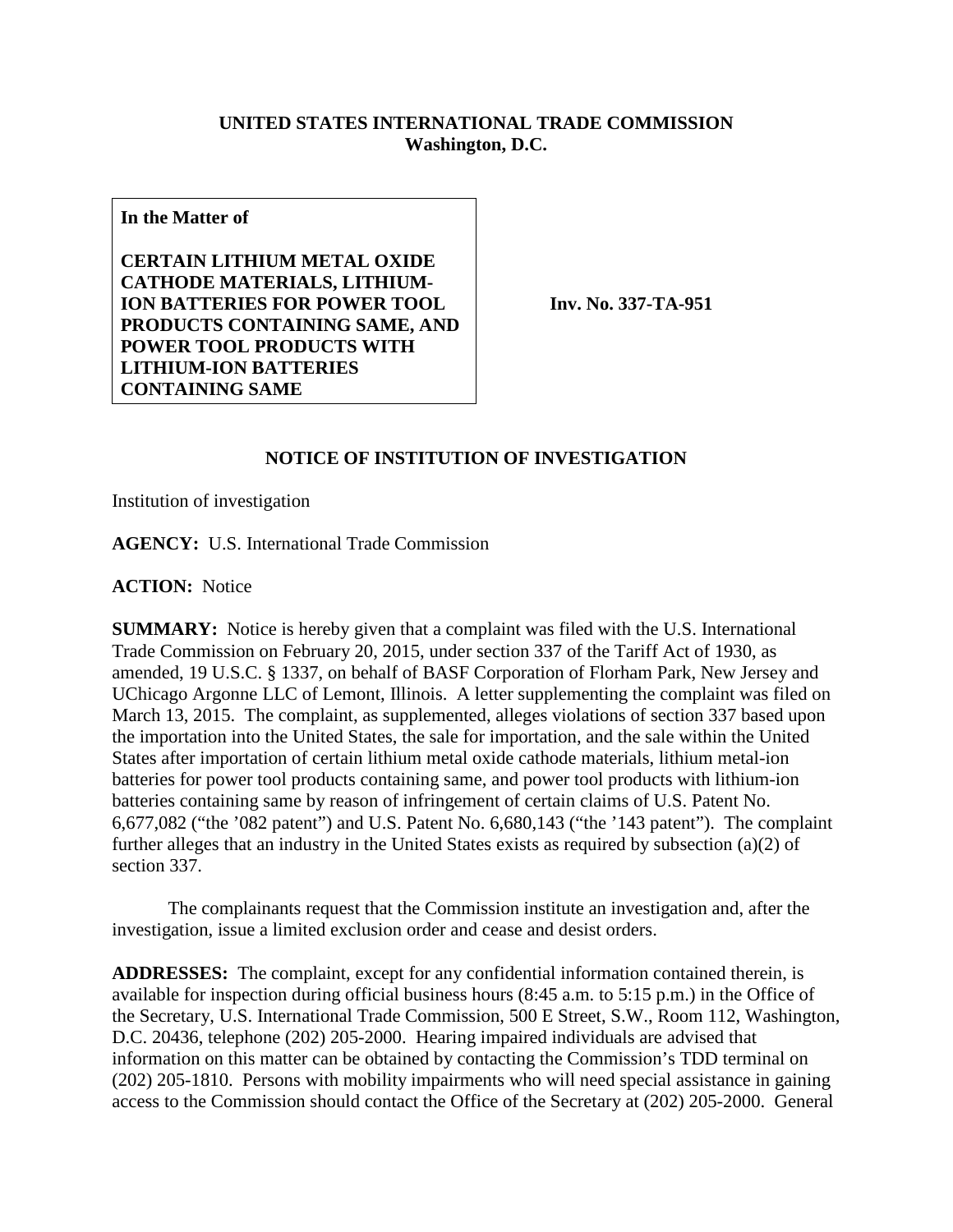## **UNITED STATES INTERNATIONAL TRADE COMMISSION Washington, D.C.**

**In the Matter of**

**CERTAIN LITHIUM METAL OXIDE CATHODE MATERIALS, LITHIUM-ION BATTERIES FOR POWER TOOL PRODUCTS CONTAINING SAME, AND POWER TOOL PRODUCTS WITH LITHIUM-ION BATTERIES CONTAINING SAME**

**Inv. No. 337-TA-951**

## **NOTICE OF INSTITUTION OF INVESTIGATION**

Institution of investigation

**AGENCY:** U.S. International Trade Commission

**ACTION:** Notice

**SUMMARY:** Notice is hereby given that a complaint was filed with the U.S. International Trade Commission on February 20, 2015, under section 337 of the Tariff Act of 1930, as amended, 19 U.S.C. § 1337, on behalf of BASF Corporation of Florham Park, New Jersey and UChicago Argonne LLC of Lemont, Illinois. A letter supplementing the complaint was filed on March 13, 2015. The complaint, as supplemented, alleges violations of section 337 based upon the importation into the United States, the sale for importation, and the sale within the United States after importation of certain lithium metal oxide cathode materials, lithium metal-ion batteries for power tool products containing same, and power tool products with lithium-ion batteries containing same by reason of infringement of certain claims of U.S. Patent No. 6,677,082 ("the '082 patent") and U.S. Patent No. 6,680,143 ("the '143 patent"). The complaint further alleges that an industry in the United States exists as required by subsection (a)(2) of section 337.

The complainants request that the Commission institute an investigation and, after the investigation, issue a limited exclusion order and cease and desist orders.

**ADDRESSES:** The complaint, except for any confidential information contained therein, is available for inspection during official business hours (8:45 a.m. to 5:15 p.m.) in the Office of the Secretary, U.S. International Trade Commission, 500 E Street, S.W., Room 112, Washington, D.C. 20436, telephone (202) 205-2000. Hearing impaired individuals are advised that information on this matter can be obtained by contacting the Commission's TDD terminal on (202) 205-1810. Persons with mobility impairments who will need special assistance in gaining access to the Commission should contact the Office of the Secretary at (202) 205-2000. General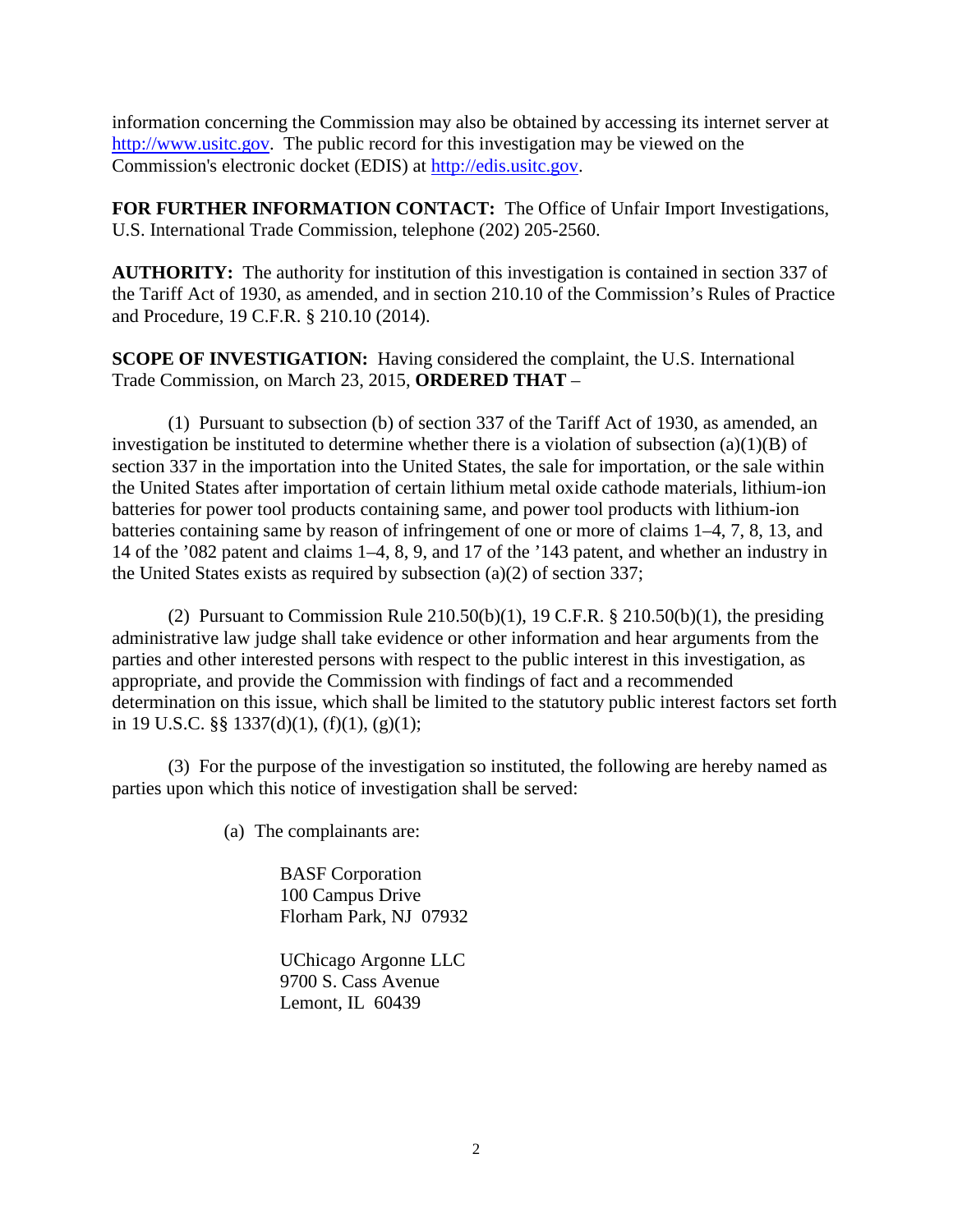information concerning the Commission may also be obtained by accessing its internet server at [http://www.usitc.gov.](http://www.usitc.gov/) The public record for this investigation may be viewed on the Commission's electronic docket (EDIS) at [http://edis.usitc.gov.](http://edis.usitc.gov/)

**FOR FURTHER INFORMATION CONTACT:** The Office of Unfair Import Investigations, U.S. International Trade Commission, telephone (202) 205-2560.

**AUTHORITY:** The authority for institution of this investigation is contained in section 337 of the Tariff Act of 1930, as amended, and in section 210.10 of the Commission's Rules of Practice and Procedure, 19 C.F.R. § 210.10 (2014).

**SCOPE OF INVESTIGATION:** Having considered the complaint, the U.S. International Trade Commission, on March 23, 2015, **ORDERED THAT** –

(1) Pursuant to subsection (b) of section 337 of the Tariff Act of 1930, as amended, an investigation be instituted to determine whether there is a violation of subsection  $(a)(1)(B)$  of section 337 in the importation into the United States, the sale for importation, or the sale within the United States after importation of certain lithium metal oxide cathode materials, lithium-ion batteries for power tool products containing same, and power tool products with lithium-ion batteries containing same by reason of infringement of one or more of claims 1–4, 7, 8, 13, and 14 of the '082 patent and claims 1–4, 8, 9, and 17 of the '143 patent, and whether an industry in the United States exists as required by subsection (a)(2) of section 337;

(2) Pursuant to Commission Rule  $210.50(b)(1)$ , 19 C.F.R. §  $210.50(b)(1)$ , the presiding administrative law judge shall take evidence or other information and hear arguments from the parties and other interested persons with respect to the public interest in this investigation, as appropriate, and provide the Commission with findings of fact and a recommended determination on this issue, which shall be limited to the statutory public interest factors set forth in 19 U.S.C. §§ 1337(d)(1), (f)(1), (g)(1);

(3) For the purpose of the investigation so instituted, the following are hereby named as parties upon which this notice of investigation shall be served:

(a) The complainants are:

BASF Corporation 100 Campus Drive Florham Park, NJ 07932

UChicago Argonne LLC 9700 S. Cass Avenue Lemont, IL 60439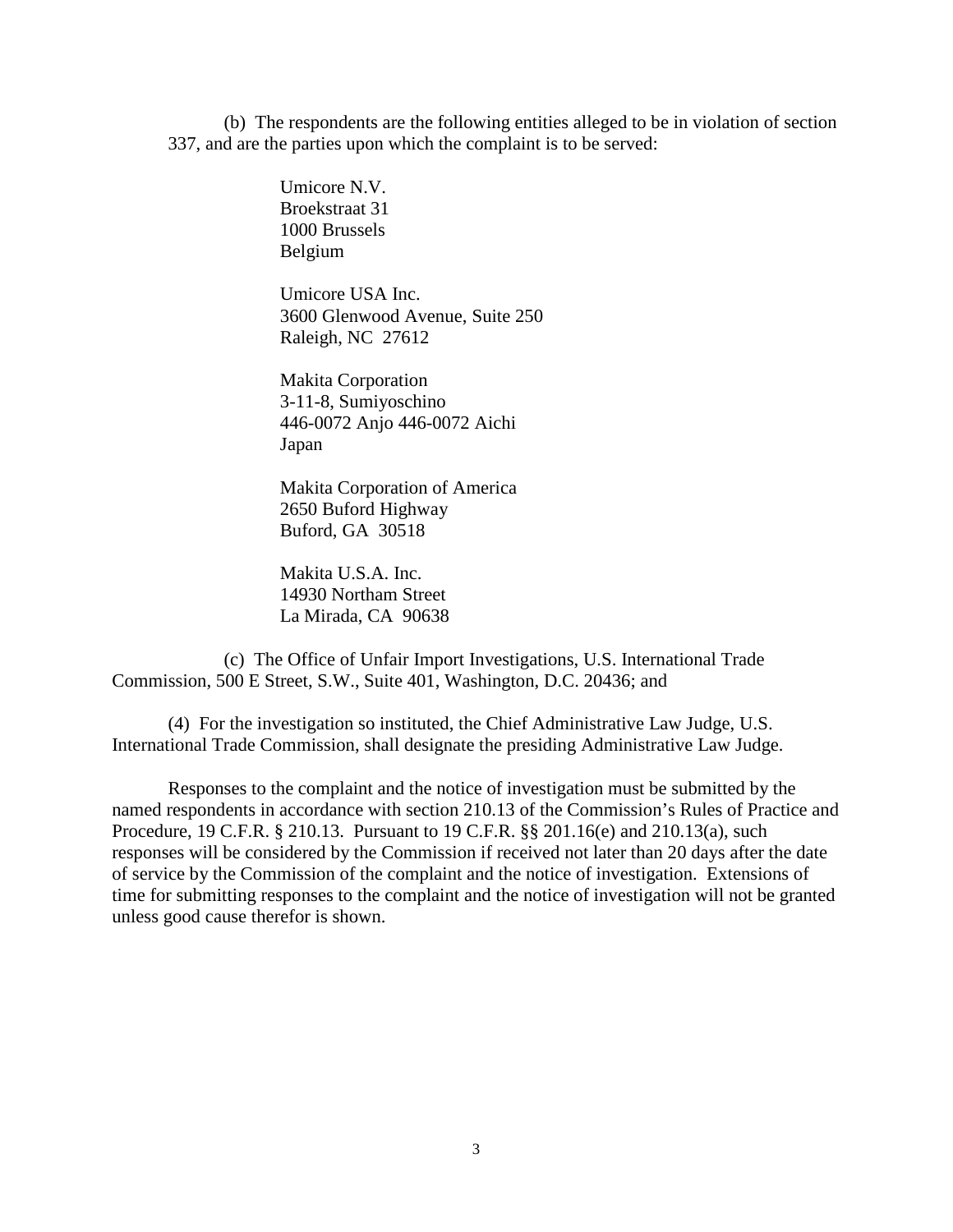(b) The respondents are the following entities alleged to be in violation of section 337, and are the parties upon which the complaint is to be served:

> Umicore N.V. Broekstraat 31 1000 Brussels Belgium

Umicore USA Inc. 3600 Glenwood Avenue, Suite 250 Raleigh, NC 27612

Makita Corporation 3-11-8, Sumiyoschino 446-0072 Anjo 446-0072 Aichi Japan

Makita Corporation of America 2650 Buford Highway Buford, GA 30518

Makita U.S.A. Inc. 14930 Northam Street La Mirada, CA 90638

(c) The Office of Unfair Import Investigations, U.S. International Trade Commission, 500 E Street, S.W., Suite 401, Washington, D.C. 20436; and

(4) For the investigation so instituted, the Chief Administrative Law Judge, U.S. International Trade Commission, shall designate the presiding Administrative Law Judge.

Responses to the complaint and the notice of investigation must be submitted by the named respondents in accordance with section 210.13 of the Commission's Rules of Practice and Procedure, 19 C.F.R. § 210.13. Pursuant to 19 C.F.R. §§ 201.16(e) and 210.13(a), such responses will be considered by the Commission if received not later than 20 days after the date of service by the Commission of the complaint and the notice of investigation. Extensions of time for submitting responses to the complaint and the notice of investigation will not be granted unless good cause therefor is shown.